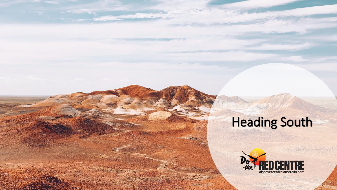## Heading South

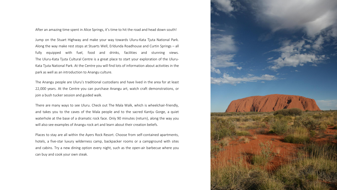After an amazing time spent in Alice Springs, it's time to hit the road and head down south!

Jump on the Stuart Highway and make your way towards Uluru-Kata Tjuta National Park. Along the way make rest stops at Stuarts Well, Erldunda Roadhouse and Curtin Springs – all fully equipped with fuel, food and drinks, facilities and stunning views. The Uluru-Kata Tjuta Cultural Centre is a great place to start your exploration of the Uluru-Kata Tjuta National Park. At the Centre you will find lots of information about activities in the park as well as an introduction to Anangu culture.

The Anangu people are Uluru's traditional custodians and have lived in the area for at least 22,000 years. At the Centre you can purchase Anangu art, watch craft demonstrations, or join a bush tucker session and guided walk.

There are many ways to see Uluru. Check out The Mala Walk, which is wheelchair-friendly, and takes you to the caves of the Mala people and to the sacred Kantju Gorge, a quiet waterhole at the base of a dramatic rock face. Only 90 minutes (return), along the way you will also see examples of Anangu rock art and learn about their creation beliefs.

Places to stay are all within the Ayers Rock Resort. Choose from self-contained apartments, hotels, a five-star luxury wilderness camp, backpacker rooms or a campground with sites and cabins. Try a new dining option every night, such as the open-air barbecue where you can buy and cook your own steak.

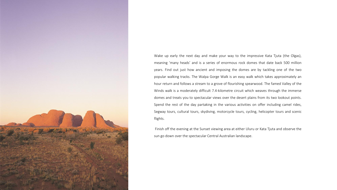

Wake up early the next day and make your way to the impressive Kata Tjuta (the Olgas), meaning 'many heads' and is a series of enormous rock domes that date back 500 million years. Find out just how ancient and imposing the domes are by tackling one of the two popular walking tracks. The Walpa Gorge Walk is an easy walk which takes approximately an hour return and follows a stream to a grove of flourishing spearwood. The famed Valley of the Winds walk is a moderately difficult 7.4-kilometre circuit which weaves through the immerse domes and treats you to spectacular views over the desert plains from its two lookout points. Spend the rest of the day partaking in the various activities on offer including camel rides, Segway tours, cultural tours, skydiving, motorcycle tours, cycling, helicopter tours and scenic flights.

Finish off the evening at the Sunset viewing area at either Uluru or Kata Tjuta and observe the sun go down over the spectacular Central Australian landscape.